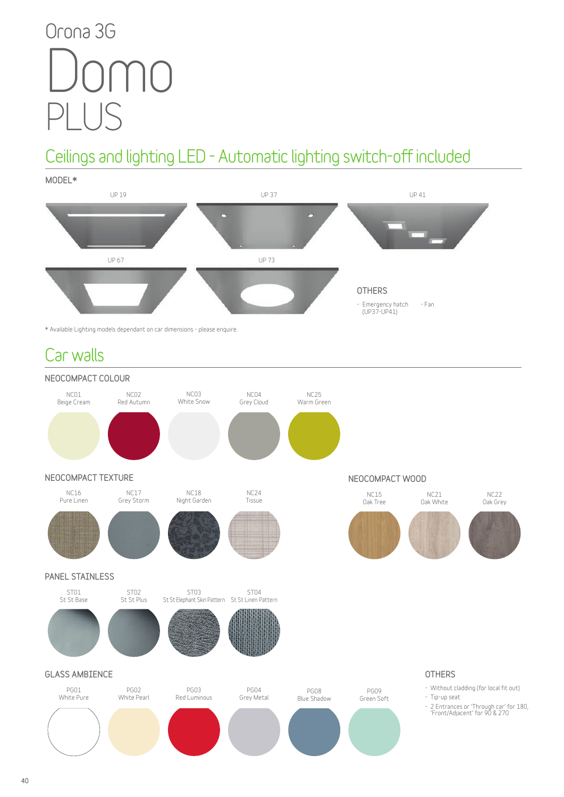# **Orona 3G** PLUS Domo

# **Ceilings and lighting LED - Automatic lighting switch-off included**

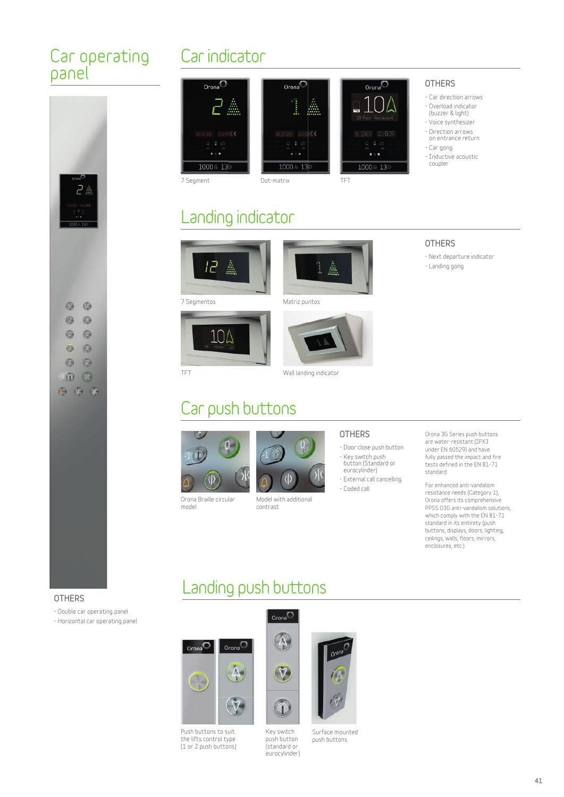#### **Car operating panel**



### **Car indicator**







**7 Segmentos Matriz puntos**



**model**



Orona<sup>(</sup>

j.

ъ.,

1000点 13

 $...$ 



**OTHERS - Car direction arrows - Overload indicator (buzzer & light) - Voice synthesizer - Direction arrows on entrance return - Car gong - Inductive acoustic coupler**

 $O_{\text{Cona}}(\sqrt[n]{a})$ 

1

1000 ± 13

- **OTHERS - Next departure indicator**
- **Landing gong**

**Orona Braille circular** 

**Car push buttons**



**Model with additional contrast**

#### **OTHERS**

- **Door close push button - Key switch push button (Standard or eurocylinder)**
- **External call cancelling - Coded call**

#### **Orona 3G Series push buttons are water-resistant (IPX3 under EN 60529) and have fully passed the impact and fire tests defined in the EN 81-71 standard.**

**For enhanced anti-vandalism resistance needs (Category 1), Orona offers its comprehensive PPSS O3G anti-vandalism solutions, which comply with the EN 81-71 standard in its entirety (push buttons, displays, doors, lighting, ceilings, walls, floors, mirrors, enclosures, etc.).**

#### **Landing push buttons**

#### **OTHERS**

**- Double car operating panel**





**Push buttons to suit the lifts control type (1 or 2 push buttons)**



**Key switch** 

**push button (standard or eurocylinder) Surface mounted push buttons**